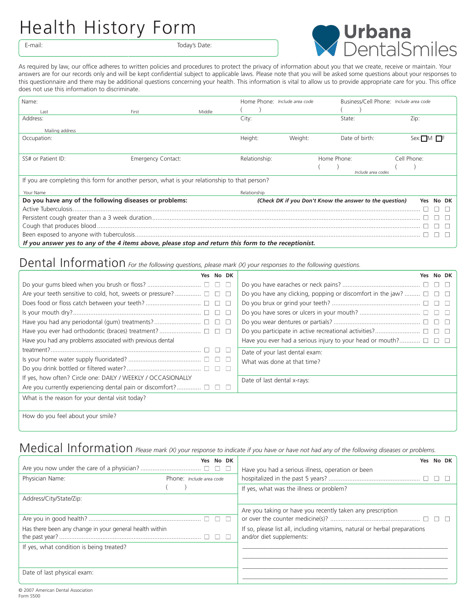## Health History Form

E-mail: Today's Date:



As required by law, our office adheres to written policies and procedures to protect the privacy of information about you that we create, receive or maintain. Your answers are for our records only and will be kept confidential subject to applicable laws. Please note that you will be asked some questions about your responses to this questionnaire and there may be additional questions concerning your health. This information is vital to allow us to provide appropriate care for you. This office does not use this information to discriminate.

| Name:                                                                                                |                    |        |               | Home Phone: Include area code |                                                         | Business/Cell Phone: Include area code |  |
|------------------------------------------------------------------------------------------------------|--------------------|--------|---------------|-------------------------------|---------------------------------------------------------|----------------------------------------|--|
| l ast                                                                                                | First              | Middle |               |                               |                                                         |                                        |  |
| Address:                                                                                             |                    |        | City:         |                               | State:                                                  | Zip:                                   |  |
| Mailing address                                                                                      |                    |        |               |                               |                                                         |                                        |  |
| Occupation:                                                                                          |                    |        | Height:       | Weight:                       | Date of birth:                                          | Sex: MI                                |  |
|                                                                                                      |                    |        |               |                               |                                                         |                                        |  |
| SS# or Patient ID:                                                                                   | Emergency Contact: |        | Relationship: |                               | Home Phone:                                             | Cell Phone:                            |  |
|                                                                                                      |                    |        |               |                               | Include area codes                                      |                                        |  |
| If you are completing this form for another person, what is your relationship to that person?        |                    |        |               |                               |                                                         |                                        |  |
| Your Name                                                                                            |                    |        | Relationship  |                               |                                                         |                                        |  |
| Do you have any of the following diseases or problems:                                               |                    |        |               |                               | (Check DK if you Don't Know the answer to the question) | No DK<br>Yes                           |  |
|                                                                                                      |                    |        |               |                               |                                                         |                                        |  |
|                                                                                                      |                    |        |               |                               |                                                         |                                        |  |
|                                                                                                      |                    |        |               |                               |                                                         |                                        |  |
|                                                                                                      |                    |        |               |                               |                                                         |                                        |  |
| If you answer yes to any of the 4 items above, please stop and return this form to the receptionist. |                    |        |               |                               |                                                         |                                        |  |

## Dental Information *For the following questions, please mark (X) your responses to the following questions.*

| No DK<br>Yes.                                                       | Yes No DK                                                                 |  |  |  |
|---------------------------------------------------------------------|---------------------------------------------------------------------------|--|--|--|
| $\Box$                                                              |                                                                           |  |  |  |
| $\begin{array}{c} \square \end{array}$                              | Do you have any clicking, popping or discomfort in the jaw? $\Box$ $\Box$ |  |  |  |
| $\Box$                                                              | $\overline{\phantom{0}}$                                                  |  |  |  |
| $\Box$<br>$\Box$                                                    |                                                                           |  |  |  |
| $\overline{\phantom{a}}$                                            | - 11                                                                      |  |  |  |
|                                                                     |                                                                           |  |  |  |
| Have you had any problems associated with previous dental           | Have you ever had a serious injury to your head or mouth? $\Box$ $\Box$   |  |  |  |
|                                                                     | Date of your last dental exam:                                            |  |  |  |
| $\Box$                                                              | What was done at that time?                                               |  |  |  |
|                                                                     |                                                                           |  |  |  |
| If yes, how often? Circle one: DAILY / WEEKLY / OCCASIONALLY        | Date of last dental x-rays:                                               |  |  |  |
| Are you currently experiencing dental pain or discomfort? $\square$ |                                                                           |  |  |  |
| What is the reason for your dental visit today?                     |                                                                           |  |  |  |
|                                                                     |                                                                           |  |  |  |

How do you feel about your smile?

## Medical Information *Please mark (X) your response to indicate if you have or have not had any of the following diseases or problems.*

|                                                         | No DK<br>Yes. | No DK<br>Yes                                                               |
|---------------------------------------------------------|---------------|----------------------------------------------------------------------------|
|                                                         | $\Box$        | Have you had a serious illness, operation or been                          |
| Physician Name:<br>Phone: Include area code             |               |                                                                            |
|                                                         |               | If yes, what was the illness or problem?                                   |
| Address/City/State/Zip:                                 |               |                                                                            |
|                                                         |               | Are you taking or have you recently taken any prescription                 |
|                                                         | $\Box$        |                                                                            |
| Has there been any change in your general health within |               | If so, please list all, including vitamins, natural or herbal preparations |
|                                                         |               | and/or diet supplements:                                                   |
| If yes, what condition is being treated?                |               |                                                                            |
|                                                         |               |                                                                            |
|                                                         |               |                                                                            |
| Date of last physical exam:                             |               |                                                                            |
|                                                         |               |                                                                            |